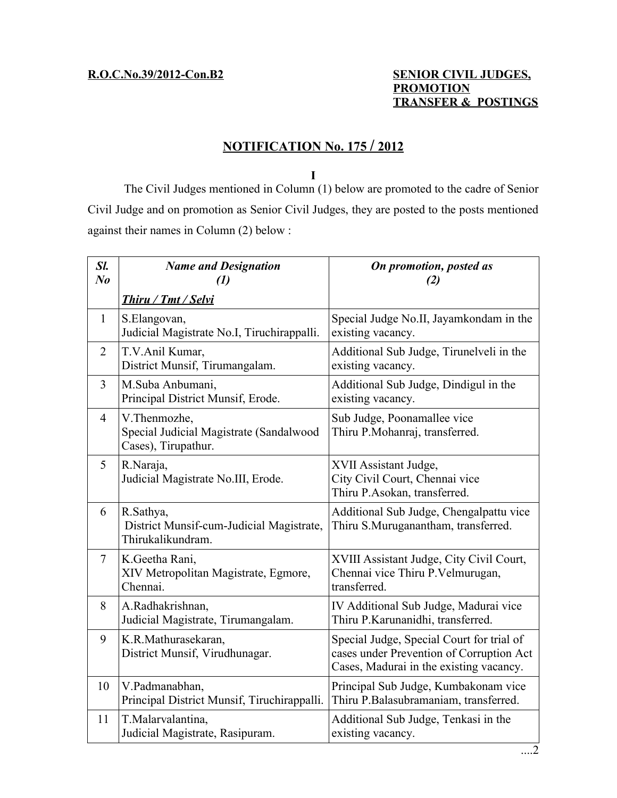# **R.O.C.No.39/2012-Con.B2 SENIOR CIVIL JUDGES, PROMOTION TRANSFER & POSTINGS**

# **N OTIFICATION No. 175 / 2 012**

**I**

The Civil Judges mentioned in Column (1) below are promoted to the cadre of Senior Civil Judge and on promotion as Senior Civil Judges, they are posted to the posts mentioned against their names in Column (2) below :

| Sl.<br>$N_{0}$ | <b>Name and Designation</b><br>$\left(1\right)$                                | On promotion, posted as<br>(2)                                                                                                   |
|----------------|--------------------------------------------------------------------------------|----------------------------------------------------------------------------------------------------------------------------------|
|                | <b>Thiru / Tmt / Selvi</b>                                                     |                                                                                                                                  |
| $\mathbf{1}$   | S.Elangovan,<br>Judicial Magistrate No.I, Tiruchirappalli.                     | Special Judge No.II, Jayamkondam in the<br>existing vacancy.                                                                     |
| 2              | T.V.Anil Kumar,<br>District Munsif, Tirumangalam.                              | Additional Sub Judge, Tirunelveli in the<br>existing vacancy.                                                                    |
| 3              | M.Suba Anbumani,<br>Principal District Munsif, Erode.                          | Additional Sub Judge, Dindigul in the<br>existing vacancy.                                                                       |
| $\overline{4}$ | V.Thenmozhe,<br>Special Judicial Magistrate (Sandalwood<br>Cases), Tirupathur. | Sub Judge, Poonamallee vice<br>Thiru P.Mohanraj, transferred.                                                                    |
| 5              | R.Naraja,<br>Judicial Magistrate No.III, Erode.                                | XVII Assistant Judge,<br>City Civil Court, Chennai vice<br>Thiru P.Asokan, transferred.                                          |
| 6              | R.Sathya,<br>District Munsif-cum-Judicial Magistrate,<br>Thirukalikundram.     | Additional Sub Judge, Chengalpattu vice<br>Thiru S.Muruganantham, transferred.                                                   |
| 7              | K.Geetha Rani,<br>XIV Metropolitan Magistrate, Egmore,<br>Chennai.             | XVIII Assistant Judge, City Civil Court,<br>Chennai vice Thiru P.Velmurugan,<br>transferred.                                     |
| 8              | A.Radhakrishnan,<br>Judicial Magistrate, Tirumangalam.                         | IV Additional Sub Judge, Madurai vice<br>Thiru P.Karunanidhi, transferred.                                                       |
| 9              | K.R.Mathurasekaran,<br>District Munsif, Virudhunagar.                          | Special Judge, Special Court for trial of<br>cases under Prevention of Corruption Act<br>Cases, Madurai in the existing vacancy. |
| 10             | V.Padmanabhan,<br>Principal District Munsif, Tiruchirappalli.                  | Principal Sub Judge, Kumbakonam vice<br>Thiru P.Balasubramaniam, transferred.                                                    |
| 11             | T.Malarvalantina,<br>Judicial Magistrate, Rasipuram.                           | Additional Sub Judge, Tenkasi in the<br>existing vacancy.                                                                        |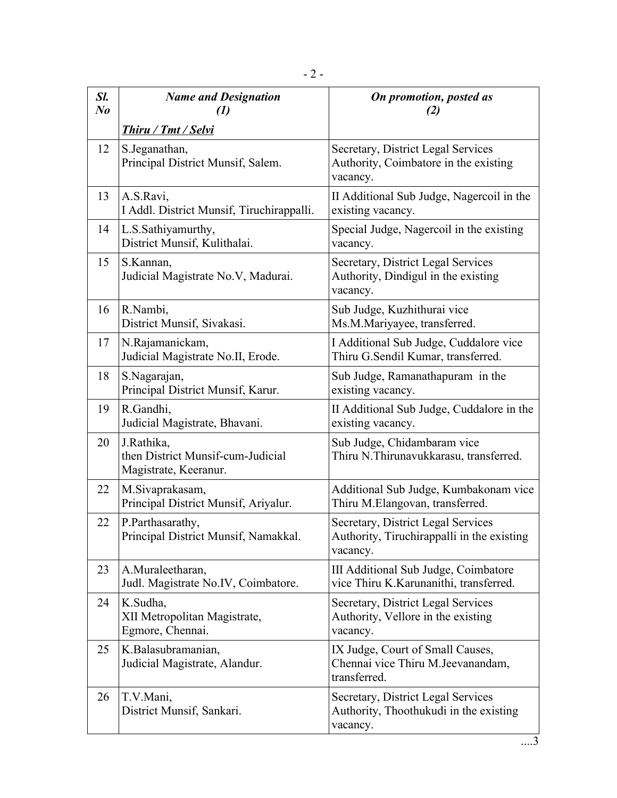| Sl.<br>$N_{0}$ | <b>Name and Designation</b><br>$\left( 1\right)$                         | On promotion, posted as<br>(2)                                                               |
|----------------|--------------------------------------------------------------------------|----------------------------------------------------------------------------------------------|
|                | <u>Thiru / Tmt / Selvi</u>                                               |                                                                                              |
| 12             | S.Jeganathan,<br>Principal District Munsif, Salem.                       | Secretary, District Legal Services<br>Authority, Coimbatore in the existing<br>vacancy.      |
| 13             | A.S.Ravi,<br>I Addl. District Munsif, Tiruchirappalli.                   | II Additional Sub Judge, Nagercoil in the<br>existing vacancy.                               |
| 14             | L.S.Sathiyamurthy,<br>District Munsif, Kulithalai.                       | Special Judge, Nagercoil in the existing<br>vacancy.                                         |
| 15             | S.Kannan,<br>Judicial Magistrate No.V, Madurai.                          | Secretary, District Legal Services<br>Authority, Dindigul in the existing<br>vacancy.        |
| 16             | R.Nambi,<br>District Munsif, Sivakasi.                                   | Sub Judge, Kuzhithurai vice<br>Ms.M.Mariyayee, transferred.                                  |
| 17             | N.Rajamanickam,<br>Judicial Magistrate No.II, Erode.                     | I Additional Sub Judge, Cuddalore vice<br>Thiru G.Sendil Kumar, transferred.                 |
| 18             | S.Nagarajan,<br>Principal District Munsif, Karur.                        | Sub Judge, Ramanathapuram in the<br>existing vacancy.                                        |
| 19             | R.Gandhi,<br>Judicial Magistrate, Bhavani.                               | II Additional Sub Judge, Cuddalore in the<br>existing vacancy.                               |
| 20             | J.Rathika,<br>then District Munsif-cum-Judicial<br>Magistrate, Keeranur. | Sub Judge, Chidambaram vice<br>Thiru N.Thirunavukkarasu, transferred.                        |
| 22             | M.Sivaprakasam,<br>Principal District Munsif, Ariyalur.                  | Additional Sub Judge, Kumbakonam vice<br>Thiru M.Elangovan, transferred.                     |
| 22             | P.Parthasarathy,<br>Principal District Munsif, Namakkal.                 | Secretary, District Legal Services<br>Authority, Tiruchirappalli in the existing<br>vacancy. |
| 23             | A.Muraleetharan,<br>Judl. Magistrate No.IV, Coimbatore.                  | III Additional Sub Judge, Coimbatore<br>vice Thiru K.Karunanithi, transferred.               |
| 24             | K.Sudha,<br>XII Metropolitan Magistrate,<br>Egmore, Chennai.             | Secretary, District Legal Services<br>Authority, Vellore in the existing<br>vacancy.         |
| 25             | K.Balasubramanian,<br>Judicial Magistrate, Alandur.                      | IX Judge, Court of Small Causes,<br>Chennai vice Thiru M.Jeevanandam,<br>transferred.        |
| 26             | T.V.Mani,<br>District Munsif, Sankari.                                   | Secretary, District Legal Services<br>Authority, Thoothukudi in the existing<br>vacancy.     |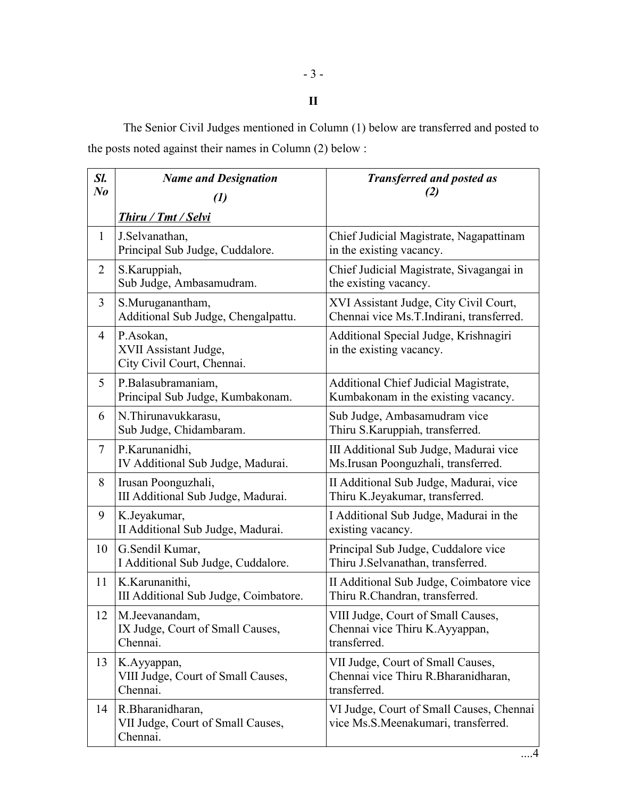- 3 -

# **II**

The Senior Civil Judges mentioned in Column (1) below are transferred and posted to the posts noted against their names in Column (2) below :

| Sl.            | <b>Name and Designation</b>                                       | <b>Transferred and posted as</b>                                                          |
|----------------|-------------------------------------------------------------------|-------------------------------------------------------------------------------------------|
| $\bm{N}$ o     | (1)                                                               | (2)                                                                                       |
|                | <b>Thiru / Tmt / Selvi</b>                                        |                                                                                           |
| $\mathbf{1}$   | J.Selvanathan,<br>Principal Sub Judge, Cuddalore.                 | Chief Judicial Magistrate, Nagapattinam<br>in the existing vacancy.                       |
| $\overline{2}$ | S.Karuppiah,<br>Sub Judge, Ambasamudram.                          | Chief Judicial Magistrate, Sivagangai in<br>the existing vacancy.                         |
| 3              | S.Muruganantham,<br>Additional Sub Judge, Chengalpattu.           | XVI Assistant Judge, City Civil Court,<br>Chennai vice Ms.T.Indirani, transferred.        |
| $\overline{4}$ | P.Asokan,<br>XVII Assistant Judge,<br>City Civil Court, Chennai.  | Additional Special Judge, Krishnagiri<br>in the existing vacancy.                         |
| 5              | P.Balasubramaniam,<br>Principal Sub Judge, Kumbakonam.            | <b>Additional Chief Judicial Magistrate,</b><br>Kumbakonam in the existing vacancy.       |
| 6              | N.Thirunavukkarasu,<br>Sub Judge, Chidambaram.                    | Sub Judge, Ambasamudram vice<br>Thiru S.Karuppiah, transferred.                           |
| 7              | P.Karunanidhi,<br>IV Additional Sub Judge, Madurai.               | III Additional Sub Judge, Madurai vice<br>Ms. Irusan Poonguzhali, transferred.            |
| 8              | Irusan Poonguzhali,<br>III Additional Sub Judge, Madurai.         | II Additional Sub Judge, Madurai, vice<br>Thiru K.Jeyakumar, transferred.                 |
| 9              | K.Jeyakumar,<br>II Additional Sub Judge, Madurai.                 | I Additional Sub Judge, Madurai in the<br>existing vacancy.                               |
| 10             | G.Sendil Kumar,<br>I Additional Sub Judge, Cuddalore.             | Principal Sub Judge, Cuddalore vice<br>Thiru J.Selvanathan, transferred.                  |
| 11             | K.Karunanithi,<br>III Additional Sub Judge, Coimbatore.           | II Additional Sub Judge, Coimbatore vice<br>Thiru R.Chandran, transferred.                |
| 12             | M.Jeevanandam.<br>IX Judge, Court of Small Causes,<br>Chennai.    | VIII Judge, Court of Small Causes,<br>Chennai vice Thiru K.Ayyappan,<br>transferred.      |
| 13             | K.Ayyappan,<br>VIII Judge, Court of Small Causes,<br>Chennai.     | VII Judge, Court of Small Causes,<br>Chennai vice Thiru R. Bharanidharan,<br>transferred. |
| 14             | R.Bharanidharan,<br>VII Judge, Court of Small Causes,<br>Chennai. | VI Judge, Court of Small Causes, Chennai<br>vice Ms.S.Meenakumari, transferred.           |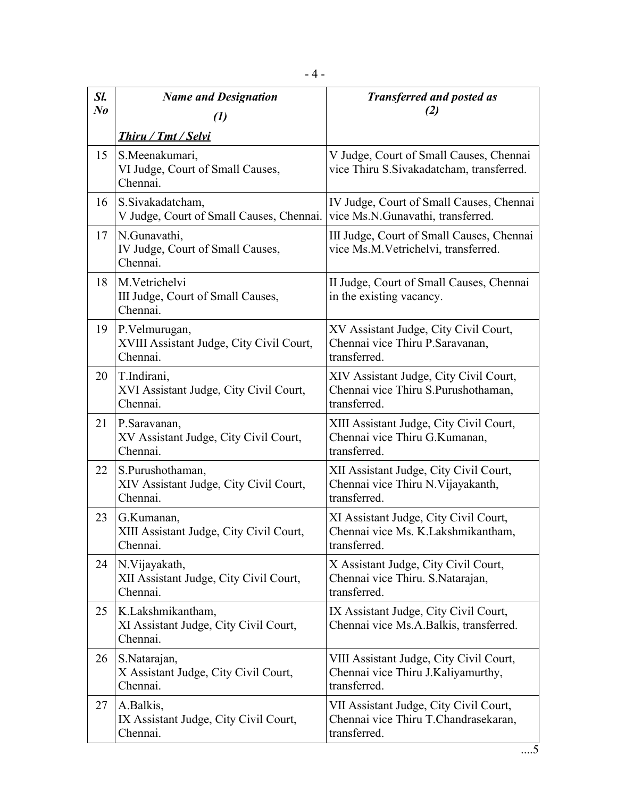| Sl.            | <b>Name and Designation</b>                                            | <b>Transferred and posted as</b>                                                               |
|----------------|------------------------------------------------------------------------|------------------------------------------------------------------------------------------------|
| N <sub>o</sub> | $\left( l\right)$                                                      | (2)                                                                                            |
|                | <b>Thiru / Tmt / Selvi</b>                                             |                                                                                                |
| 15             | S.Meenakumari,<br>VI Judge, Court of Small Causes,<br>Chennai.         | V Judge, Court of Small Causes, Chennai<br>vice Thiru S.Sivakadatcham, transferred.            |
| 16             | S. Sivakadatcham,<br>V Judge, Court of Small Causes, Chennai.          | IV Judge, Court of Small Causes, Chennai<br>vice Ms.N.Gunavathi, transferred.                  |
| 17             | N.Gunavathi,<br>IV Judge, Court of Small Causes,<br>Chennai.           | III Judge, Court of Small Causes, Chennai<br>vice Ms.M.Vetrichelvi, transferred.               |
| 18             | M.Vetrichelvi<br>III Judge, Court of Small Causes,<br>Chennai.         | II Judge, Court of Small Causes, Chennai<br>in the existing vacancy.                           |
| 19             | P.Velmurugan,<br>XVIII Assistant Judge, City Civil Court,<br>Chennai.  | XV Assistant Judge, City Civil Court,<br>Chennai vice Thiru P. Saravanan,<br>transferred.      |
| 20             | T.Indirani,<br>XVI Assistant Judge, City Civil Court,<br>Chennai.      | XIV Assistant Judge, City Civil Court,<br>Chennai vice Thiru S. Purushothaman,<br>transferred. |
| 21             | P.Saravanan,<br>XV Assistant Judge, City Civil Court,<br>Chennai.      | XIII Assistant Judge, City Civil Court,<br>Chennai vice Thiru G. Kumanan,<br>transferred.      |
| 22             | S.Purushothaman,<br>XIV Assistant Judge, City Civil Court,<br>Chennai. | XII Assistant Judge, City Civil Court,<br>Chennai vice Thiru N. Vijayakanth,<br>transferred.   |
| 23             | G.Kumanan,<br>XIII Assistant Judge, City Civil Court,<br>Chennai.      | XI Assistant Judge, City Civil Court,<br>Chennai vice Ms. K.Lakshmikantham,<br>transferred.    |
| 24             | N. Vijayakath,<br>XII Assistant Judge, City Civil Court,<br>Chennai.   | X Assistant Judge, City Civil Court,<br>Chennai vice Thiru. S. Natarajan,<br>transferred.      |
| 25             | K.Lakshmikantham,<br>XI Assistant Judge, City Civil Court,<br>Chennai. | IX Assistant Judge, City Civil Court,<br>Chennai vice Ms.A.Balkis, transferred.                |
| 26             | S. Natarajan,<br>X Assistant Judge, City Civil Court,<br>Chennai.      | VIII Assistant Judge, City Civil Court,<br>Chennai vice Thiru J.Kaliyamurthy,<br>transferred.  |
| 27             | A.Balkis,<br>IX Assistant Judge, City Civil Court,<br>Chennai.         | VII Assistant Judge, City Civil Court,<br>Chennai vice Thiru T.Chandrasekaran,<br>transferred. |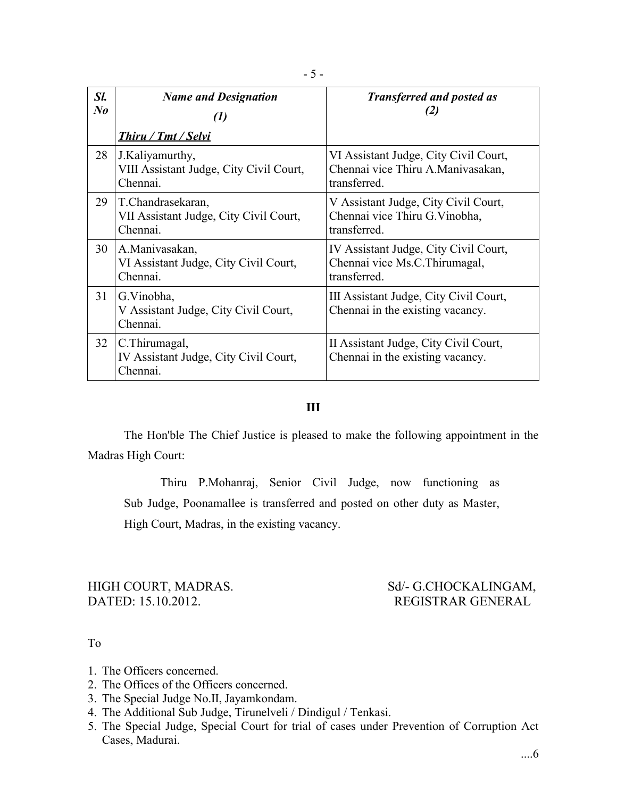| Sl.<br>$N_{0}$ | <b>Name and Designation</b><br>(1)                                      | <b>Transferred and posted as</b>                                                           |
|----------------|-------------------------------------------------------------------------|--------------------------------------------------------------------------------------------|
|                | Thiru / Tmt / Selvi                                                     |                                                                                            |
| 28             | J.Kaliyamurthy,<br>VIII Assistant Judge, City Civil Court,<br>Chennai.  | VI Assistant Judge, City Civil Court,<br>Chennai vice Thiru A.Manivasakan,<br>transferred. |
| 29             | T.Chandrasekaran,<br>VII Assistant Judge, City Civil Court,<br>Chennai. | V Assistant Judge, City Civil Court,<br>Chennai vice Thiru G. Vinobha,<br>transferred.     |
| 30             | A.Manivasakan,<br>VI Assistant Judge, City Civil Court,<br>Chennai.     | IV Assistant Judge, City Civil Court,<br>Chennai vice Ms.C.Thirumagal,<br>transferred.     |
| 31             | G.Vinobha,<br>V Assistant Judge, City Civil Court,<br>Chennai.          | III Assistant Judge, City Civil Court,<br>Chennai in the existing vacancy.                 |
| 32             | C.Thirumagal,<br>IV Assistant Judge, City Civil Court,<br>Chennai.      | II Assistant Judge, City Civil Court,<br>Chennai in the existing vacancy.                  |

### **III**

The Hon'ble The Chief Justice is pleased to make the following appointment in the Madras High Court:

Thiru P.Mohanraj, Senior Civil Judge, now functioning as Sub Judge, Poonamallee is transferred and posted on other duty as Master, High Court, Madras, in the existing vacancy.

# HIGH COURT, MADRAS. Sd/- G.CHOCKALINGAM,<br>DATED: 15.10.2012. REGISTRAR GENERAL REGISTRAR GENERAL.

### To

- 1. The Officers concerned.
- 2. The Offices of the Officers concerned.
- 3. The Special Judge No.II, Jayamkondam.
- 4. The Additional Sub Judge, Tirunelveli / Dindigul / Tenkasi.
- 5. The Special Judge, Special Court for trial of cases under Prevention of Corruption Act Cases, Madurai.